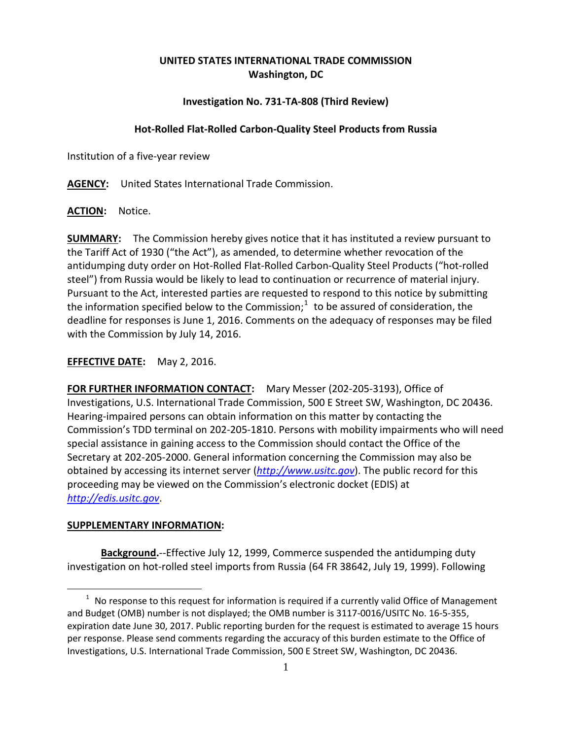## **UNITED STATES INTERNATIONAL TRADE COMMISSION Washington, DC**

## **Investigation No. 731-TA-808 (Third Review)**

## **Hot-Rolled Flat-Rolled Carbon-Quality Steel Products from Russia**

Institution of a five-year review

**AGENCY:** United States International Trade Commission.

**ACTION:** Notice.

**SUMMARY:** The Commission hereby gives notice that it has instituted a review pursuant to the Tariff Act of 1930 ("the Act"), as amended, to determine whether revocation of the antidumping duty order on Hot-Rolled Flat-Rolled Carbon-Quality Steel Products ("hot-rolled steel") from Russia would be likely to lead to continuation or recurrence of material injury. Pursuant to the Act, interested parties are requested to respond to this notice by submitting the information specified below to the Commission;<sup>[1](#page-0-0)</sup> to be assured of consideration, the deadline for responses is June 1, 2016. Comments on the adequacy of responses may be filed with the Commission by July 14, 2016.

**EFFECTIVE DATE:** May 2, 2016.

**FOR FURTHER INFORMATION CONTACT:** Mary Messer (202-205-3193), Office of Investigations, U.S. International Trade Commission, 500 E Street SW, Washington, DC 20436. Hearing-impaired persons can obtain information on this matter by contacting the Commission's TDD terminal on 202-205-1810. Persons with mobility impairments who will need special assistance in gaining access to the Commission should contact the Office of the Secretary at 202-205-2000. General information concerning the Commission may also be obtained by accessing its internet server (*[http://www.usitc.gov](http://www.usitc.gov/)*). The public record for this proceeding may be viewed on the Commission's electronic docket (EDIS) at *[http://edis.usitc.gov](http://edis.usitc.gov/)*.

## **SUPPLEMENTARY INFORMATION:**

 $\overline{a}$ 

**Background.**--Effective July 12, 1999, Commerce suspended the antidumping duty investigation on hot-rolled steel imports from Russia (64 FR 38642, July 19, 1999). Following

<span id="page-0-0"></span> $1$  No response to this request for information is required if a currently valid Office of Management and Budget (OMB) number is not displayed; the OMB number is 3117-0016/USITC No. 16-5-355, expiration date June 30, 2017. Public reporting burden for the request is estimated to average 15 hours per response. Please send comments regarding the accuracy of this burden estimate to the Office of Investigations, U.S. International Trade Commission, 500 E Street SW, Washington, DC 20436.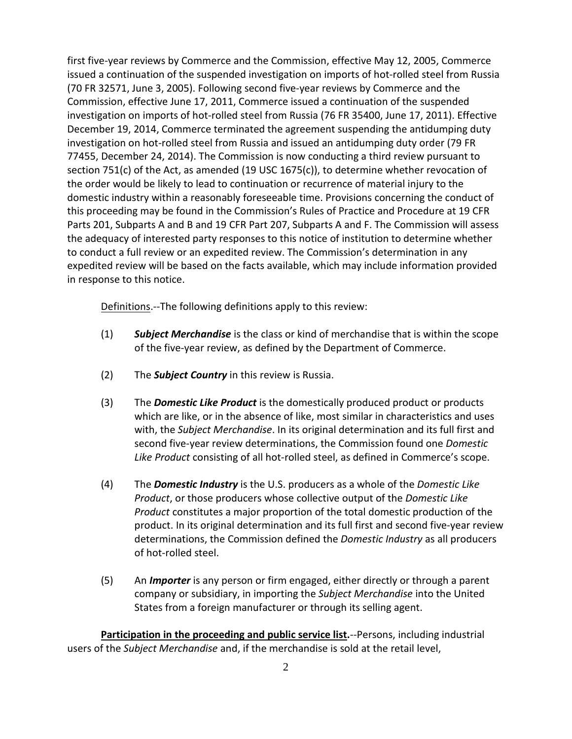first five-year reviews by Commerce and the Commission, effective May 12, 2005, Commerce issued a continuation of the suspended investigation on imports of hot-rolled steel from Russia (70 FR 32571, June 3, 2005). Following second five-year reviews by Commerce and the Commission, effective June 17, 2011, Commerce issued a continuation of the suspended investigation on imports of hot-rolled steel from Russia (76 FR 35400, June 17, 2011). Effective December 19, 2014, Commerce terminated the agreement suspending the antidumping duty investigation on hot-rolled steel from Russia and issued an antidumping duty order (79 FR 77455, December 24, 2014). The Commission is now conducting a third review pursuant to section 751(c) of the Act, as amended (19 USC 1675(c)), to determine whether revocation of the order would be likely to lead to continuation or recurrence of material injury to the domestic industry within a reasonably foreseeable time. Provisions concerning the conduct of this proceeding may be found in the Commission's Rules of Practice and Procedure at 19 CFR Parts 201, Subparts A and B and 19 CFR Part 207, Subparts A and F. The Commission will assess the adequacy of interested party responses to this notice of institution to determine whether to conduct a full review or an expedited review. The Commission's determination in any expedited review will be based on the facts available, which may include information provided in response to this notice.

Definitions.--The following definitions apply to this review:

- (1) *Subject Merchandise* is the class or kind of merchandise that is within the scope of the five-year review, as defined by the Department of Commerce.
- (2) The *Subject Country* in this review is Russia.
- (3) The *Domestic Like Product* is the domestically produced product or products which are like, or in the absence of like, most similar in characteristics and uses with, the *Subject Merchandise*. In its original determination and its full first and second five-year review determinations, the Commission found one *Domestic Like Product* consisting of all hot-rolled steel, as defined in Commerce's scope.
- (4) The *Domestic Industry* is the U.S. producers as a whole of the *Domestic Like Product*, or those producers whose collective output of the *Domestic Like Product* constitutes a major proportion of the total domestic production of the product. In its original determination and its full first and second five-year review determinations, the Commission defined the *Domestic Industry* as all producers of hot-rolled steel.
- (5) An *Importer* is any person or firm engaged, either directly or through a parent company or subsidiary, in importing the *Subject Merchandise* into the United States from a foreign manufacturer or through its selling agent.

**Participation in the proceeding and public service list.**--Persons, including industrial users of the *Subject Merchandise* and, if the merchandise is sold at the retail level,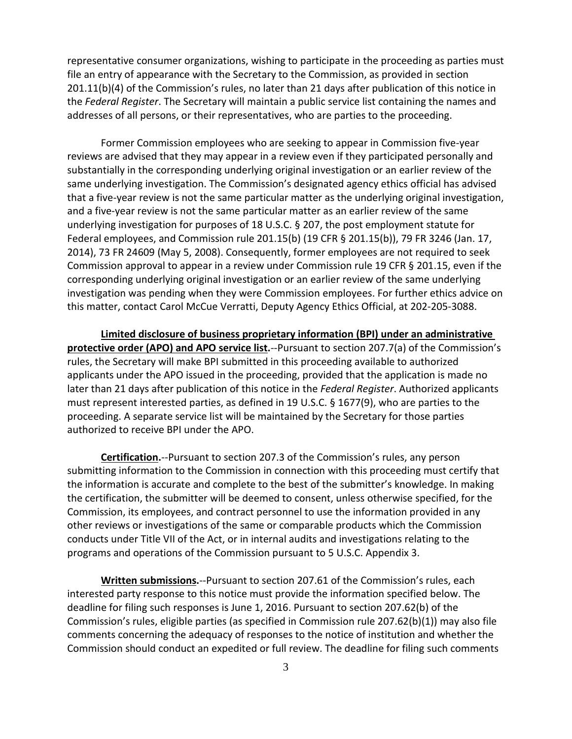representative consumer organizations, wishing to participate in the proceeding as parties must file an entry of appearance with the Secretary to the Commission, as provided in section 201.11(b)(4) of the Commission's rules, no later than 21 days after publication of this notice in the *Federal Register*. The Secretary will maintain a public service list containing the names and addresses of all persons, or their representatives, who are parties to the proceeding.

Former Commission employees who are seeking to appear in Commission five-year reviews are advised that they may appear in a review even if they participated personally and substantially in the corresponding underlying original investigation or an earlier review of the same underlying investigation. The Commission's designated agency ethics official has advised that a five-year review is not the same particular matter as the underlying original investigation, and a five-year review is not the same particular matter as an earlier review of the same underlying investigation for purposes of 18 U.S.C. § 207, the post employment statute for Federal employees, and Commission rule 201.15(b) (19 CFR § 201.15(b)), 79 FR 3246 (Jan. 17, 2014), 73 FR 24609 (May 5, 2008). Consequently, former employees are not required to seek Commission approval to appear in a review under Commission rule 19 CFR § 201.15, even if the corresponding underlying original investigation or an earlier review of the same underlying investigation was pending when they were Commission employees. For further ethics advice on this matter, contact Carol McCue Verratti, Deputy Agency Ethics Official, at 202-205-3088.

**Limited disclosure of business proprietary information (BPI) under an administrative protective order (APO) and APO service list.**--Pursuant to section 207.7(a) of the Commission's rules, the Secretary will make BPI submitted in this proceeding available to authorized applicants under the APO issued in the proceeding, provided that the application is made no later than 21 days after publication of this notice in the *Federal Register*. Authorized applicants must represent interested parties, as defined in 19 U.S.C. § 1677(9), who are parties to the proceeding. A separate service list will be maintained by the Secretary for those parties authorized to receive BPI under the APO.

**Certification.**--Pursuant to section 207.3 of the Commission's rules, any person submitting information to the Commission in connection with this proceeding must certify that the information is accurate and complete to the best of the submitter's knowledge. In making the certification, the submitter will be deemed to consent, unless otherwise specified, for the Commission, its employees, and contract personnel to use the information provided in any other reviews or investigations of the same or comparable products which the Commission conducts under Title VII of the Act, or in internal audits and investigations relating to the programs and operations of the Commission pursuant to 5 U.S.C. Appendix 3.

**Written submissions.**--Pursuant to section 207.61 of the Commission's rules, each interested party response to this notice must provide the information specified below. The deadline for filing such responses is June 1, 2016. Pursuant to section 207.62(b) of the Commission's rules, eligible parties (as specified in Commission rule 207.62(b)(1)) may also file comments concerning the adequacy of responses to the notice of institution and whether the Commission should conduct an expedited or full review. The deadline for filing such comments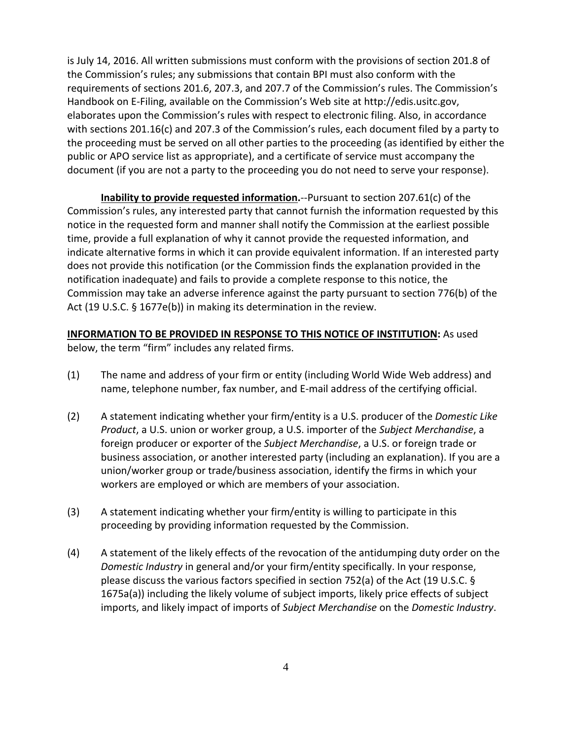is July 14, 2016. All written submissions must conform with the provisions of section 201.8 of the Commission's rules; any submissions that contain BPI must also conform with the requirements of sections 201.6, 207.3, and 207.7 of the Commission's rules. The Commission's Handbook on E-Filing, available on the Commission's Web site at http://edis.usitc.gov, elaborates upon the Commission's rules with respect to electronic filing. Also, in accordance with sections 201.16(c) and 207.3 of the Commission's rules, each document filed by a party to the proceeding must be served on all other parties to the proceeding (as identified by either the public or APO service list as appropriate), and a certificate of service must accompany the document (if you are not a party to the proceeding you do not need to serve your response).

**Inability to provide requested information.**--Pursuant to section 207.61(c) of the Commission's rules, any interested party that cannot furnish the information requested by this notice in the requested form and manner shall notify the Commission at the earliest possible time, provide a full explanation of why it cannot provide the requested information, and indicate alternative forms in which it can provide equivalent information. If an interested party does not provide this notification (or the Commission finds the explanation provided in the notification inadequate) and fails to provide a complete response to this notice, the Commission may take an adverse inference against the party pursuant to section 776(b) of the Act (19 U.S.C. § 1677e(b)) in making its determination in the review.

**INFORMATION TO BE PROVIDED IN RESPONSE TO THIS NOTICE OF INSTITUTION:** As used below, the term "firm" includes any related firms.

- (1) The name and address of your firm or entity (including World Wide Web address) and name, telephone number, fax number, and E-mail address of the certifying official.
- (2) A statement indicating whether your firm/entity is a U.S. producer of the *Domestic Like Product*, a U.S. union or worker group, a U.S. importer of the *Subject Merchandise*, a foreign producer or exporter of the *Subject Merchandise*, a U.S. or foreign trade or business association, or another interested party (including an explanation). If you are a union/worker group or trade/business association, identify the firms in which your workers are employed or which are members of your association.
- (3) A statement indicating whether your firm/entity is willing to participate in this proceeding by providing information requested by the Commission.
- (4) A statement of the likely effects of the revocation of the antidumping duty order on the *Domestic Industry* in general and/or your firm/entity specifically. In your response, please discuss the various factors specified in section 752(a) of the Act (19 U.S.C. § 1675a(a)) including the likely volume of subject imports, likely price effects of subject imports, and likely impact of imports of *Subject Merchandise* on the *Domestic Industry*.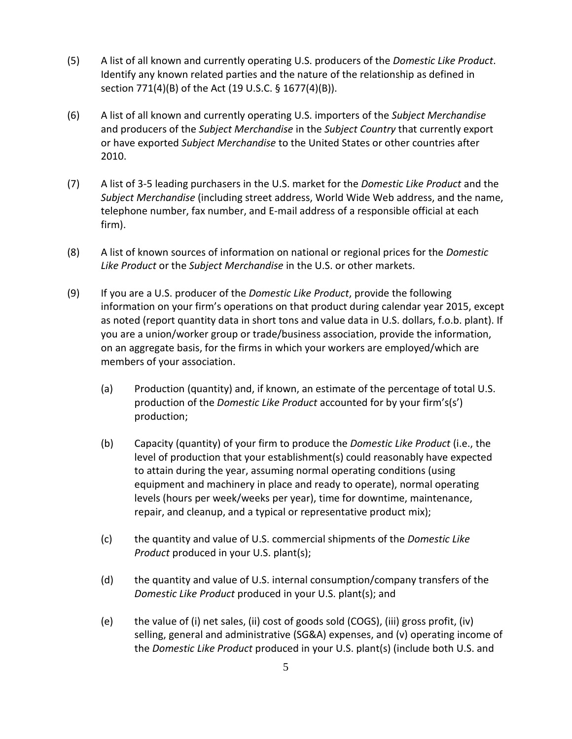- (5) A list of all known and currently operating U.S. producers of the *Domestic Like Product*. Identify any known related parties and the nature of the relationship as defined in section 771(4)(B) of the Act (19 U.S.C. § 1677(4)(B)).
- (6) A list of all known and currently operating U.S. importers of the *Subject Merchandise* and producers of the *Subject Merchandise* in the *Subject Country* that currently export or have exported *Subject Merchandise* to the United States or other countries after 2010.
- (7) A list of 3-5 leading purchasers in the U.S. market for the *Domestic Like Product* and the *Subject Merchandise* (including street address, World Wide Web address, and the name, telephone number, fax number, and E-mail address of a responsible official at each firm).
- (8) A list of known sources of information on national or regional prices for the *Domestic Like Product* or the *Subject Merchandise* in the U.S. or other markets.
- (9) If you are a U.S. producer of the *Domestic Like Product*, provide the following information on your firm's operations on that product during calendar year 2015, except as noted (report quantity data in short tons and value data in U.S. dollars, f.o.b. plant). If you are a union/worker group or trade/business association, provide the information, on an aggregate basis, for the firms in which your workers are employed/which are members of your association.
	- (a) Production (quantity) and, if known, an estimate of the percentage of total U.S. production of the *Domestic Like Product* accounted for by your firm's(s') production;
	- (b) Capacity (quantity) of your firm to produce the *Domestic Like Product* (i.e., the level of production that your establishment(s) could reasonably have expected to attain during the year, assuming normal operating conditions (using equipment and machinery in place and ready to operate), normal operating levels (hours per week/weeks per year), time for downtime, maintenance, repair, and cleanup, and a typical or representative product mix);
	- (c) the quantity and value of U.S. commercial shipments of the *Domestic Like Product* produced in your U.S. plant(s);
	- (d) the quantity and value of U.S. internal consumption/company transfers of the *Domestic Like Product* produced in your U.S. plant(s); and
	- (e) the value of (i) net sales, (ii) cost of goods sold (COGS), (iii) gross profit, (iv) selling, general and administrative (SG&A) expenses, and (v) operating income of the *Domestic Like Product* produced in your U.S. plant(s) (include both U.S. and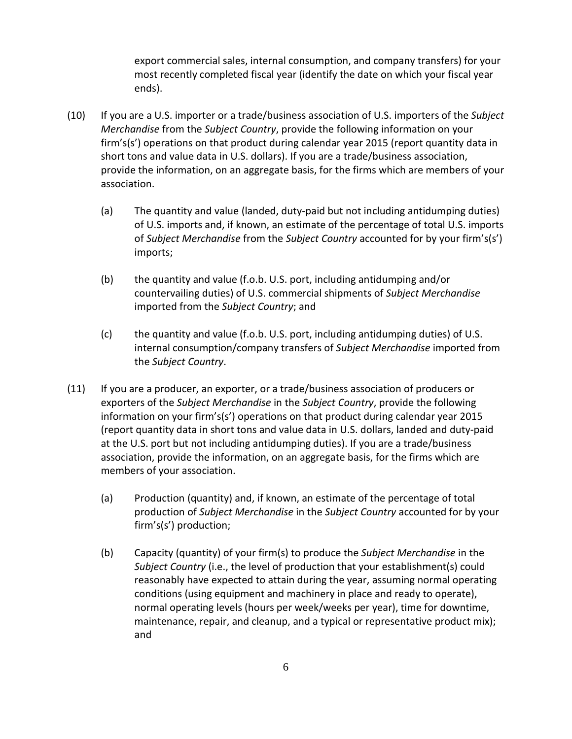export commercial sales, internal consumption, and company transfers) for your most recently completed fiscal year (identify the date on which your fiscal year ends).

- (10) If you are a U.S. importer or a trade/business association of U.S. importers of the *Subject Merchandise* from the *Subject Country*, provide the following information on your firm's(s') operations on that product during calendar year 2015 (report quantity data in short tons and value data in U.S. dollars). If you are a trade/business association, provide the information, on an aggregate basis, for the firms which are members of your association.
	- (a) The quantity and value (landed, duty-paid but not including antidumping duties) of U.S. imports and, if known, an estimate of the percentage of total U.S. imports of *Subject Merchandise* from the *Subject Country* accounted for by your firm's(s') imports;
	- (b) the quantity and value (f.o.b. U.S. port, including antidumping and/or countervailing duties) of U.S. commercial shipments of *Subject Merchandise* imported from the *Subject Country*; and
	- (c) the quantity and value (f.o.b. U.S. port, including antidumping duties) of U.S. internal consumption/company transfers of *Subject Merchandise* imported from the *Subject Country*.
- (11) If you are a producer, an exporter, or a trade/business association of producers or exporters of the *Subject Merchandise* in the *Subject Country*, provide the following information on your firm's(s') operations on that product during calendar year 2015 (report quantity data in short tons and value data in U.S. dollars, landed and duty-paid at the U.S. port but not including antidumping duties). If you are a trade/business association, provide the information, on an aggregate basis, for the firms which are members of your association.
	- (a) Production (quantity) and, if known, an estimate of the percentage of total production of *Subject Merchandise* in the *Subject Country* accounted for by your firm's(s') production;
	- (b) Capacity (quantity) of your firm(s) to produce the *Subject Merchandise* in the *Subject Country* (i.e., the level of production that your establishment(s) could reasonably have expected to attain during the year, assuming normal operating conditions (using equipment and machinery in place and ready to operate), normal operating levels (hours per week/weeks per year), time for downtime, maintenance, repair, and cleanup, and a typical or representative product mix); and